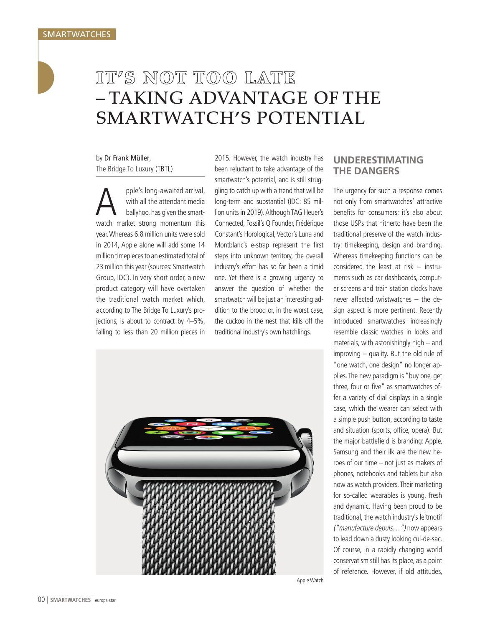## IT'S NOT TOO LATE – TAKING ADVANTAGE OF THE SMARTWATCH'S POTENTIAL

by Dr Frank Müller, The Bridge To Luxury (TBTL)

pple's long-awaited arrival, with all the attendant media ballyhoo, has given the smartwatch market strong momentum this year. Whereas 6.8 million units were sold in 2014, Apple alone will add some 14 million timepieces to an estimated total of 23 million this year (sources: Smartwatch Group, IDC). In very short order, a new product category will have overtaken the traditional watch market which, according to The Bridge To Luxury's projections, is about to contract by 4–5%, falling to less than 20 million pieces in

2015. However, the watch industry has been reluctant to take advantage of the smartwatch's potential, and is still struggling to catch up with a trend that will be long-term and substantial (IDC: 85 million units in 2019). Although TAG Heuer's Connected, Fossil's Q Founder, Frédérique Constant's Horological, Vector's Luna and Montblanc's e-strap represent the first steps into unknown territory, the overall industry's effort has so far been a timid one. Yet there is a growing urgency to answer the question of whether the smartwatch will be just an interesting addition to the brood or, in the worst case, the cuckoo in the nest that kills off the traditional industry's own hatchlings.



Apple Watch

## **UNDERESTIMATING THE DANGERS**

The urgency for such a response comes not only from smartwatches' attractive benefits for consumers; it's also about those USPs that hitherto have been the traditional preserve of the watch industry: timekeeping, design and branding. Whereas timekeeping functions can be considered the least at risk – instruments such as car dashboards, computer screens and train station clocks have never affected wristwatches – the design aspect is more pertinent. Recently introduced smartwatches increasingly resemble classic watches in looks and materials, with astonishingly high – and improving – quality. But the old rule of "one watch, one design" no longer applies. The new paradigm is "buy one, get three, four or five" as smartwatches offer a variety of dial displays in a single case, which the wearer can select with a simple push button, according to taste and situation (sports, office, opera). But the major battlefield is branding: Apple, Samsung and their ilk are the new heroes of our time – not just as makers of phones, notebooks and tablets but also now as watch providers. Their marketing for so-called wearables is young, fresh and dynamic. Having been proud to be traditional, the watch industry's leitmotif ("manufacture depuis…") now appears to lead down a dusty looking cul-de-sac. Of course, in a rapidly changing world conservatism still has its place, as a point of reference. However, if old attitudes,